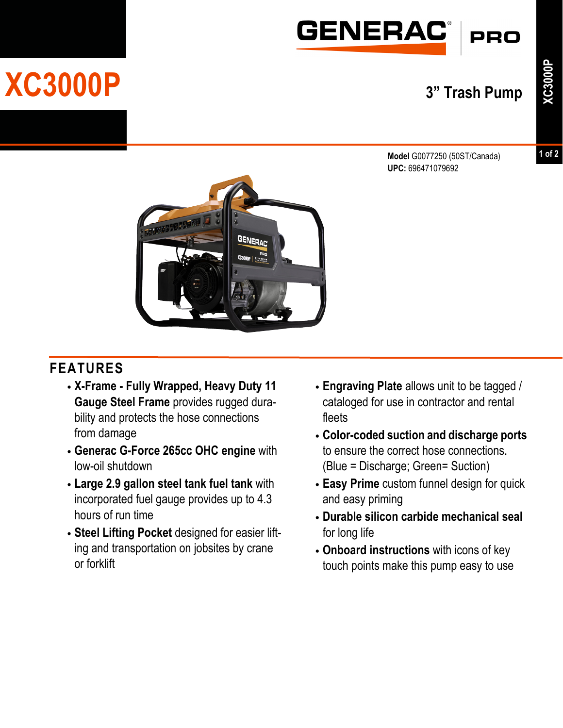

## **XC3000P 3" Trash Pump**

**1 of 2**

**Model** G0077250 (50ST/Canada) **UPC:** 696471079692



## **FEATURES**

- **• X-Frame Fully Wrapped, Heavy Duty 11 Gauge Steel Frame** provides rugged durability and protects the hose connections from damage
- **• Generac G-Force 265cc OHC engine** with low-oil shutdown
- **• Large 2.9 gallon steel tank fuel tank** with incorporated fuel gauge provides up to 4.3 hours of run time
- **• Steel Lifting Pocket** designed for easier lifting and transportation on jobsites by crane or forklift
- **• Engraving Plate** allows unit to be tagged / cataloged for use in contractor and rental fleets
- **• Color-coded suction and discharge ports** to ensure the correct hose connections. (Blue = Discharge; Green= Suction)
- **• Easy Prime** custom funnel design for quick and easy priming
- **• Durable silicon carbide mechanical seal** for long life
- **• Onboard instructions** with icons of key touch points make this pump easy to use